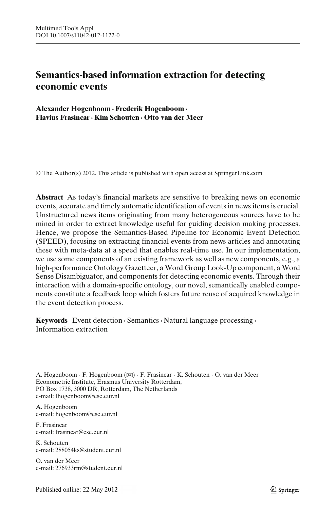# **Semantics-based information extraction for detecting economic events**

**Alexander Hogenboom · Frederik Hogenboom · Flavius Frasincar· Kim Schouten · Otto van der Meer**

© The Author(s) 2012. This article is published with open access at SpringerLink.com

**Abstract** As today's financial markets are sensitive to breaking news on economic events, accurate and timely automatic identification of events in news items is crucial. Unstructured news items originating from many heterogeneous sources have to be mined in order to extract knowledge useful for guiding decision making processes. Hence, we propose the Semantics-Based Pipeline for Economic Event Detection (SPEED), focusing on extracting financial events from news articles and annotating these with meta-data at a speed that enables real-time use. In our implementation, we use some components of an existing framework as well as new components, e.g., a high-performance Ontology Gazetteer, a Word Group Look-Up component, a Word Sense Disambiguator, and components for detecting economic events. Through their interaction with a domain-specific ontology, our novel, semantically enabled components constitute a feedback loop which fosters future reuse of acquired knowledge in the event detection process.

**Keywords** Event detection **·** Semantics**·** Natural language processing **·** Information extraction

A. Hogenboom e-mail: hogenboom@ese.eur.nl

- F. Frasincar e-mail: frasincar@ese.eur.nl
- K. Schouten e-mail: 288054ks@student.eur.nl
- O. van der Meer e-mail: 276933rm@student.eur.nl

A. Hogenboom · F. Hogenboom ( $\boxtimes$ ) · F. Frasincar · K. Schouten · O. van der Meer Econometric Institute, Erasmus University Rotterdam, PO Box 1738, 3000 DR, Rotterdam, The Netherlands e-mail: fhogenboom@ese.eur.nl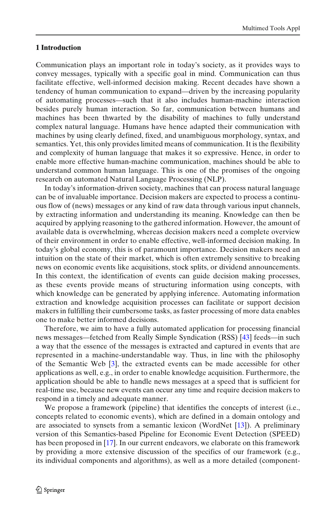## **1 Introduction**

Communication plays an important role in today's society, as it provides ways to convey messages, typically with a specific goal in mind. Communication can thus facilitate effective, well-informed decision making. Recent decades have shown a tendency of human communication to expand—driven by the increasing popularity of automating processes—such that it also includes human-machine interaction besides purely human interaction. So far, communication between humans and machines has been thwarted by the disability of machines to fully understand complex natural language. Humans have hence adapted their communication with machines by using clearly defined, fixed, and unambiguous morphology, syntax, and semantics. Yet, this only provides limited means of communication. It is the flexibility and complexity of human language that makes it so expressive. Hence, in order to enable more effective human-machine communication, machines should be able to understand common human language. This is one of the promises of the ongoing research on automated Natural Language Processing (NLP).

In today's information-driven society, machines that can process natural language can be of invaluable importance. Decision makers are expected to process a continuous flow of (news) messages or any kind of raw data through various input channels, by extracting information and understanding its meaning. Knowledge can then be acquired by applying reasoning to the gathered information. However, the amount of available data is overwhelming, whereas decision makers need a complete overview of their environment in order to enable effective, well-informed decision making. In today's global economy, this is of paramount importance. Decision makers need an intuition on the state of their market, which is often extremely sensitive to breaking news on economic events like acquisitions, stock splits, or dividend announcements. In this context, the identification of events can guide decision making processes, as these events provide means of structuring information using concepts, with which knowledge can be generated by applying inference. Automating information extraction and knowledge acquisition processes can facilitate or support decision makers in fulfilling their cumbersome tasks, as faster processing of more data enables one to make better informed decisions.

Therefore, we aim to have a fully automated application for processing financial news messages—fetched from Really Simple Syndication (RSS) [\[43](#page-23-0)] feeds—in such a way that the essence of the messages is extracted and captured in events that are represented in a machine-understandable way. Thus, in line with the philosophy of the Semantic Web [\[3](#page-21-0)], the extracted events can be made accessible for other applications as well, e.g., in order to enable knowledge acquisition. Furthermore, the application should be able to handle news messages at a speed that is sufficient for real-time use, because new events can occur any time and require decision makers to respond in a timely and adequate manner.

We propose a framework (pipeline) that identifies the concepts of interest (i.e., concepts related to economic events), which are defined in a domain ontology and are associated to synsets from a semantic lexicon (WordNet [\[13\]](#page-21-0)). A preliminary version of this Semantics-based Pipeline for Economic Event Detection (SPEED) has been proposed in [\[17](#page-21-0)]. In our current endeavors, we elaborate on this framework by providing a more extensive discussion of the specifics of our framework (e.g., its individual components and algorithms), as well as a more detailed (component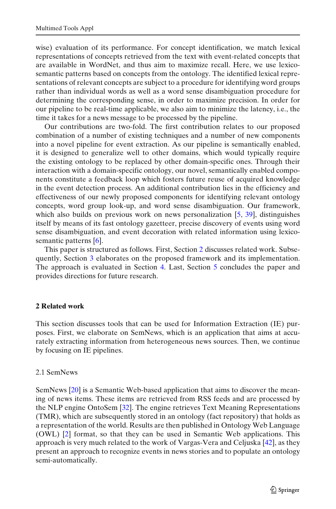<span id="page-2-0"></span>wise) evaluation of its performance. For concept identification, we match lexical representations of concepts retrieved from the text with event-related concepts that are available in WordNet, and thus aim to maximize recall. Here, we use lexicosemantic patterns based on concepts from the ontology. The identified lexical representations of relevant concepts are subject to a procedure for identifying word groups rather than individual words as well as a word sense disambiguation procedure for determining the corresponding sense, in order to maximize precision. In order for our pipeline to be real-time applicable, we also aim to minimize the latency, i.e., the time it takes for a news message to be processed by the pipeline.

Our contributions are two-fold. The first contribution relates to our proposed combination of a number of existing techniques and a number of new components into a novel pipeline for event extraction. As our pipeline is semantically enabled, it is designed to generalize well to other domains, which would typically require the existing ontology to be replaced by other domain-specific ones. Through their interaction with a domain-specific ontology, our novel, semantically enabled components constitute a feedback loop which fosters future reuse of acquired knowledge in the event detection process. An additional contribution lies in the efficiency and effectiveness of our newly proposed components for identifying relevant ontology concepts, word group look-up, and word sense disambiguation. Our framework, which also builds on previous work on news personalization [\[5,](#page-21-0) [39\]](#page-22-0), distinguishes itself by means of its fast ontology gazetteer, precise discovery of events using word sense disambiguation, and event decoration with related information using lexicosemantic patterns [\[6\]](#page-21-0).

This paper is structured as follows. First, Section 2 discusses related work. Subse-quently, Section [3](#page-6-0) elaborates on the proposed framework and its implementation. The approach is evaluated in Section [4.](#page-17-0) Last, Section [5](#page-20-0) concludes the paper and provides directions for future research.

## **2 Related work**

This section discusses tools that can be used for Information Extraction (IE) purposes. First, we elaborate on SemNews, which is an application that aims at accurately extracting information from heterogeneous news sources. Then, we continue by focusing on IE pipelines.

### 2.1 SemNews

SemNews [\[20\]](#page-21-0) is a Semantic Web-based application that aims to discover the meaning of news items. These items are retrieved from RSS feeds and are processed by the NLP engine OntoSem [\[32](#page-22-0)]. The engine retrieves Text Meaning Representations (TMR), which are subsequently stored in an ontology (fact repository) that holds as a representation of the world. Results are then published in Ontology Web Language (OWL) [\[2\]](#page-21-0) format, so that they can be used in Semantic Web applications. This approach is very much related to the work of Vargas-Vera and Celjuska [\[42](#page-23-0)], as they present an approach to recognize events in news stories and to populate an ontology semi-automatically.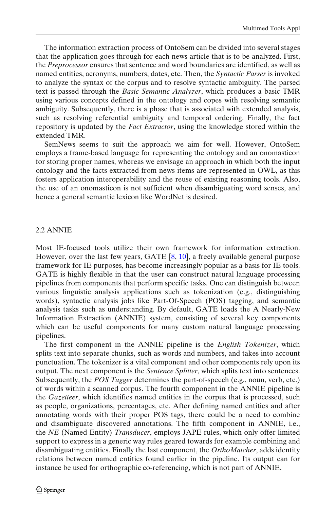The information extraction process of OntoSem can be divided into several stages that the application goes through for each news article that is to be analyzed. First, the *Preprocessor* ensures that sentence and word boundaries are identified, as well as named entities, acronyms, numbers, dates, etc. Then, the *Syntactic Parser* is invoked to analyze the syntax of the corpus and to resolve syntactic ambiguity. The parsed text is passed through the *Basic Semantic Analyzer*, which produces a basic TMR using various concepts defined in the ontology and copes with resolving semantic ambiguity. Subsequently, there is a phase that is associated with extended analysis, such as resolving referential ambiguity and temporal ordering. Finally, the fact repository is updated by the *Fact Extractor*, using the knowledge stored within the extended TMR.

SemNews seems to suit the approach we aim for well. However, OntoSem employs a frame-based language for representing the ontology and an onomasticon for storing proper names, whereas we envisage an approach in which both the input ontology and the facts extracted from news items are represented in OWL, as this fosters application interoperability and the reuse of existing reasoning tools. Also, the use of an onomasticon is not sufficient when disambiguating word senses, and hence a general semantic lexicon like WordNet is desired.

## 2.2 ANNIE

Most IE-focused tools utilize their own framework for information extraction. However, over the last few years, GATE [\[8,](#page-21-0) [10](#page-21-0)], a freely available general purpose framework for IE purposes, has become increasingly popular as a basis for IE tools. GATE is highly flexible in that the user can construct natural language processing pipelines from components that perform specific tasks. One can distinguish between various linguistic analysis applications such as tokenization (e.g., distinguishing words), syntactic analysis jobs like Part-Of-Speech (POS) tagging, and semantic analysis tasks such as understanding. By default, GATE loads the A Nearly-New Information Extraction (ANNIE) system, consisting of several key components which can be useful components for many custom natural language processing pipelines.

The first component in the ANNIE pipeline is the *English Tokenizer*, which splits text into separate chunks, such as words and numbers, and takes into account punctuation. The tokenizer is a vital component and other components rely upon its output. The next component is the *Sentence Splitter*, which splits text into sentences. Subsequently, the *POS Tagger* determines the part-of-speech (e.g., noun, verb, etc.) of words within a scanned corpus. The fourth component in the ANNIE pipeline is the *Gazetteer*, which identifies named entities in the corpus that is processed, such as people, organizations, percentages, etc. After defining named entities and after annotating words with their proper POS tags, there could be a need to combine and disambiguate discovered annotations. The fifth component in ANNIE, i.e., the *NE* (Named Entity) *Transducer*, employs JAPE rules, which only offer limited support to express in a generic way rules geared towards for example combining and disambiguating entities. Finally the last component, the *OrthoMatcher*, adds identity relations between named entities found earlier in the pipeline. Its output can for instance be used for orthographic co-referencing, which is not part of ANNIE.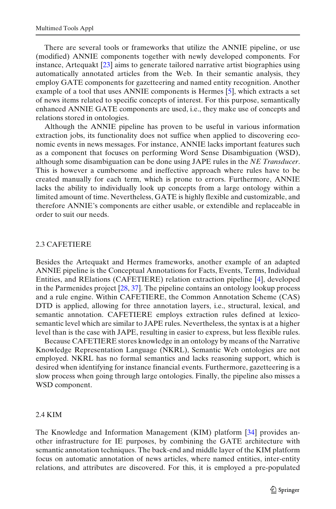There are several tools or frameworks that utilize the ANNIE pipeline, or use (modified) ANNIE components together with newly developed components. For instance, Artequakt [\[23](#page-22-0)] aims to generate tailored narrative artist biographies using automatically annotated articles from the Web. In their semantic analysis, they employ GATE components for gazetteering and named entity recognition. Another example of a tool that uses ANNIE components is Hermes [\[5](#page-21-0)], which extracts a set of news items related to specific concepts of interest. For this purpose, semantically enhanced ANNIE GATE components are used, i.e., they make use of concepts and relations stored in ontologies.

Although the ANNIE pipeline has proven to be useful in various information extraction jobs, its functionality does not suffice when applied to discovering economic events in news messages. For instance, ANNIE lacks important features such as a component that focuses on performing Word Sense Disambiguation (WSD), although some disambiguation can be done using JAPE rules in the *NE Transducer*. This is however a cumbersome and ineffective approach where rules have to be created manually for each term, which is prone to errors. Furthermore, ANNIE lacks the ability to individually look up concepts from a large ontology within a limited amount of time. Nevertheless, GATE is highly flexible and customizable, and therefore ANNIE's components are either usable, or extendible and replaceable in order to suit our needs.

#### 2.3 CAFETIERE

Besides the Artequakt and Hermes frameworks, another example of an adapted ANNIE pipeline is the Conceptual Annotations for Facts, Events, Terms, Individual Entities, and RElations (CAFETIERE) relation extraction pipeline [\[4](#page-21-0)], developed in the Parmenides project [\[28](#page-22-0), [37](#page-22-0)]. The pipeline contains an ontology lookup process and a rule engine. Within CAFETIERE, the Common Annotation Scheme (CAS) DTD is applied, allowing for three annotation layers, i.e., structural, lexical, and semantic annotation. CAFETIERE employs extraction rules defined at lexicosemantic level which are similar to JAPE rules. Nevertheless, the syntax is at a higher level than is the case with JAPE, resulting in easier to express, but less flexible rules.

Because CAFETIERE stores knowledge in an ontology by means of the Narrative Knowledge Representation Language (NKRL), Semantic Web ontologies are not employed. NKRL has no formal semantics and lacks reasoning support, which is desired when identifying for instance financial events. Furthermore, gazetteering is a slow process when going through large ontologies. Finally, the pipeline also misses a WSD component.

#### 2.4 KIM

The Knowledge and Information Management (KIM) platform [\[34](#page-22-0)] provides another infrastructure for IE purposes, by combining the GATE architecture with semantic annotation techniques. The back-end and middle layer of the KIM platform focus on automatic annotation of news articles, where named entities, inter-entity relations, and attributes are discovered. For this, it is employed a pre-populated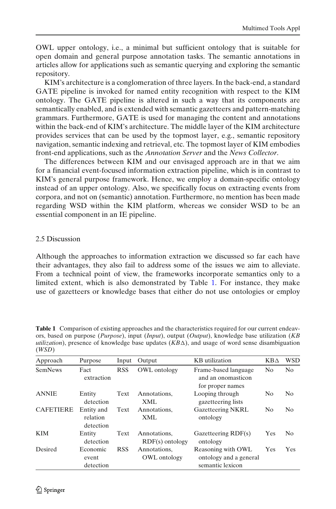OWL upper ontology, i.e., a minimal but sufficient ontology that is suitable for open domain and general purpose annotation tasks. The semantic annotations in articles allow for applications such as semantic querying and exploring the semantic repository.

KIM's architecture is a conglomeration of three layers. In the back-end, a standard GATE pipeline is invoked for named entity recognition with respect to the KIM ontology. The GATE pipeline is altered in such a way that its components are semantically enabled, and is extended with semantic gazetteers and pattern-matching grammars. Furthermore, GATE is used for managing the content and annotations within the back-end of KIM's architecture. The middle layer of the KIM architecture provides services that can be used by the topmost layer, e.g., semantic repository navigation, semantic indexing and retrieval, etc. The topmost layer of KIM embodies front-end applications, such as the *Annotation Server* and the *News Collector*.

The differences between KIM and our envisaged approach are in that we aim for a financial event-focused information extraction pipeline, which is in contrast to KIM's general purpose framework. Hence, we employ a domain-specific ontology instead of an upper ontology. Also, we specifically focus on extracting events from corpora, and not on (semantic) annotation. Furthermore, no mention has been made regarding WSD within the KIM platform, whereas we consider WSD to be an essential component in an IE pipeline.

## 2.5 Discussion

Although the approaches to information extraction we discussed so far each have their advantages, they also fail to address some of the issues we aim to alleviate. From a technical point of view, the frameworks incorporate semantics only to a limited extent, which is also demonstrated by Table 1. For instance, they make use of gazetteers or knowledge bases that either do not use ontologies or employ

**Table 1** Comparison of existing approaches and the characteristics required for our current endeavors, based on purpose (*Purpose*), input (*Input*), output (*Output*), knowledge base utilization (*KB utilization*), presence of knowledge base updates (*KB*-), and usage of word sense disambiguation (*WSD*)

| Approach         | Purpose                             | Input      | Output                            | KB utilization                                                   | $KB\Delta$     | WSD            |
|------------------|-------------------------------------|------------|-----------------------------------|------------------------------------------------------------------|----------------|----------------|
| <b>SemNews</b>   | Fact<br>extraction                  | <b>RSS</b> | OWL ontology                      | Frame-based language<br>and an onomasticon<br>for proper names   | No             | N <sub>0</sub> |
| <b>ANNIE</b>     | Entity<br>detection                 | Text       | Annotations,<br>XML               | Looping through<br>gazetteering lists                            | No             | N <sub>0</sub> |
| <b>CAFETIERE</b> | Entity and<br>relation<br>detection | Text       | Annotations.<br>XML               | Gazetteering NKRL<br>ontology                                    | N <sub>0</sub> | N <sub>0</sub> |
| <b>KIM</b>       | Entity<br>detection                 | Text       | Annotations.<br>$RDF(s)$ ontology | Gazetteering RDF(s)<br>ontology                                  | Yes            | No             |
| Desired          | Economic<br>event<br>detection      | <b>RSS</b> | Annotations,<br>OWL ontology      | Reasoning with OWL<br>ontology and a general<br>semantic lexicon | Yes            | Yes            |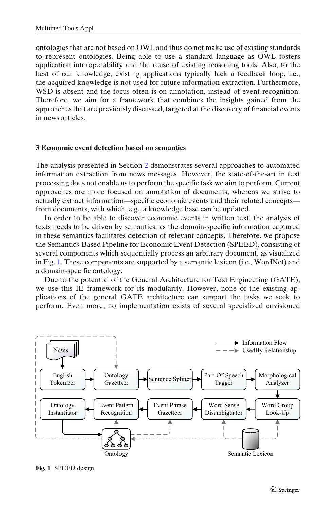<span id="page-6-0"></span>ontologies that are not based on OWL and thus do not make use of existing standards to represent ontologies. Being able to use a standard language as OWL fosters application interoperability and the reuse of existing reasoning tools. Also, to the best of our knowledge, existing applications typically lack a feedback loop, i.e., the acquired knowledge is not used for future information extraction. Furthermore, WSD is absent and the focus often is on annotation, instead of event recognition. Therefore, we aim for a framework that combines the insights gained from the approaches that are previously discussed, targeted at the discovery of financial events in news articles.

### **3 Economic event detection based on semantics**

The analysis presented in Section [2](#page-2-0) demonstrates several approaches to automated information extraction from news messages. However, the state-of-the-art in text processing does not enable us to perform the specific task we aim to perform. Current approaches are more focused on annotation of documents, whereas we strive to actually extract information—specific economic events and their related concepts from documents, with which, e.g., a knowledge base can be updated.

In order to be able to discover economic events in written text, the analysis of texts needs to be driven by semantics, as the domain-specific information captured in these semantics facilitates detection of relevant concepts. Therefore, we propose the Semantics-Based Pipeline for Economic Event Detection (SPEED), consisting of several components which sequentially process an arbitrary document, as visualized in Fig. 1. These components are supported by a semantic lexicon (i.e., WordNet) and a domain-specific ontology.

Due to the potential of the General Architecture for Text Engineering (GATE), we use this IE framework for its modularity. However, none of the existing applications of the general GATE architecture can support the tasks we seek to perform. Even more, no implementation exists of several specialized envisioned



**Fig. 1** SPEED design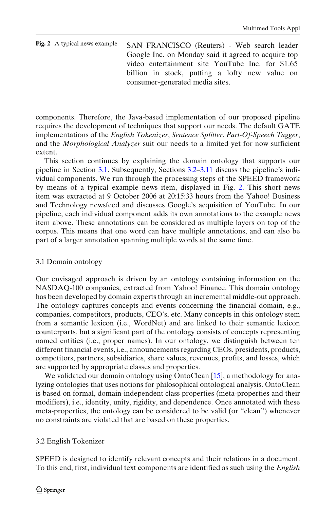**Fig. 2** A typical news example SAN FRANCISCO (Reuters) - Web search leader Google Inc. on Monday said it agreed to acquire top video entertainment site YouTube Inc. for \$1.65 billion in stock, putting a lofty new value on consumer-generated media sites.

components. Therefore, the Java-based implementation of our proposed pipeline requires the development of techniques that support our needs. The default GATE implementations of the *English Tokenizer*, *Sentence Splitter*, *Part-Of-Speech Tagger*, and the *Morphological Analyzer* suit our needs to a limited yet for now sufficient extent.

This section continues by explaining the domain ontology that supports our pipeline in Section 3.1. Subsequently, Sections 3.2[–3.11](#page-17-0) discuss the pipeline's individual components. We run through the processing steps of the SPEED framework by means of a typical example news item, displayed in Fig. 2. This short news item was extracted at 9 October 2006 at 20:15:33 hours from the Yahoo! Business and Technology newsfeed and discusses Google's acquisition of YouTube. In our pipeline, each individual component adds its own annotations to the example news item above. These annotations can be considered as multiple layers on top of the corpus. This means that one word can have multiple annotations, and can also be part of a larger annotation spanning multiple words at the same time.

# 3.1 Domain ontology

Our envisaged approach is driven by an ontology containing information on the NASDAQ-100 companies, extracted from Yahoo! Finance. This domain ontology has been developed by domain experts through an incremental middle-out approach. The ontology captures concepts and events concerning the financial domain, e.g., companies, competitors, products, CEO's, etc. Many concepts in this ontology stem from a semantic lexicon (i.e., WordNet) and are linked to their semantic lexicon counterparts, but a significant part of the ontology consists of concepts representing named entities (i.e., proper names). In our ontology, we distinguish between ten different financial events, i.e., announcements regarding CEOs, presidents, products, competitors, partners, subsidiaries, share values, revenues, profits, and losses, which are supported by appropriate classes and properties.

We validated our domain ontology using OntoClean [\[15\]](#page-21-0), a methodology for analyzing ontologies that uses notions for philosophical ontological analysis. OntoClean is based on formal, domain-independent class properties (meta-properties and their modifiers), i.e., identity, unity, rigidity, and dependence. Once annotated with these meta-properties, the ontology can be considered to be valid (or "clean") whenever no constraints are violated that are based on these properties.

# 3.2 English Tokenizer

SPEED is designed to identify relevant concepts and their relations in a document. To this end, first, individual text components are identified as such using the *English*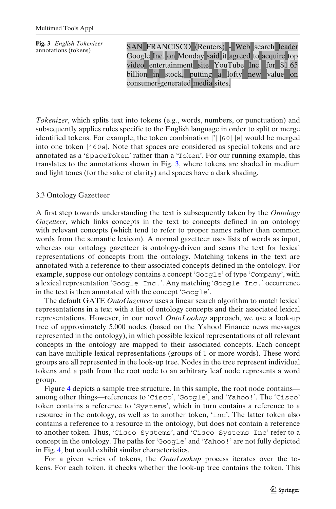| Fig. 3 English Tokenizer<br>annotations (tokens) | SAN FRANCISCO (Reuters) - Web search leader<br>Google Inc. on Monday said it agreed to acquire top<br>video entertainment site YouTube Inc. for \$1.65<br>billion in stock, putting a lofty new value on<br>consumer-generated media sites. |
|--------------------------------------------------|---------------------------------------------------------------------------------------------------------------------------------------------------------------------------------------------------------------------------------------------|
|                                                  |                                                                                                                                                                                                                                             |

*Tokenizer*, which splits text into tokens (e.g., words, numbers, or punctuation) and subsequently applies rules specific to the English language in order to split or merge identified tokens. For example, the token combination |'| |60| |s| would be merged into one token |'60s|. Note that spaces are considered as special tokens and are annotated as a 'SpaceToken' rather than a 'Token'. For our running example, this translates to the annotations shown in Fig. 3, where tokens are shaded in medium and light tones (for the sake of clarity) and spaces have a dark shading.

## 3.3 Ontology Gazetteer

A first step towards understanding the text is subsequently taken by the *Ontology Gazetteer*, which links concepts in the text to concepts defined in an ontology with relevant concepts (which tend to refer to proper names rather than common words from the semantic lexicon). A normal gazetteer uses lists of words as input, whereas our ontology gazetteer is ontology-driven and scans the text for lexical representations of concepts from the ontology. Matching tokens in the text are annotated with a reference to their associated concepts defined in the ontology. For example, suppose our ontology contains a concept 'Google' of type 'Company', with a lexical representation 'Google Inc.'. Any matching 'Google Inc.' occurrence in the text is then annotated with the concept 'Google'.

The default GATE *OntoGazetteer* uses a linear search algorithm to match lexical representations in a text with a list of ontology concepts and their associated lexical representations. However, in our novel *OntoLookup* approach, we use a look-up tree of approximately 5,000 nodes (based on the Yahoo! Finance news messages represented in the ontology), in which possible lexical representations of all relevant concepts in the ontology are mapped to their associated concepts. Each concept can have multiple lexical representations (groups of 1 or more words). These word groups are all represented in the look-up tree. Nodes in the tree represent individual tokens and a path from the root node to an arbitrary leaf node represents a word group.

Figure [4](#page-9-0) depicts a sample tree structure. In this sample, the root node contains among other things—references to 'Cisco', 'Google', and 'Yahoo!'. The 'Cisco' token contains a reference to 'Systems', which in turn contains a reference to a resource in the ontology, as well as to another token, 'Inc'. The latter token also contains a reference to a resource in the ontology, but does not contain a reference to another token. Thus, 'Cisco Systems', and 'Cisco Systems Inc' refer to a concept in the ontology. The paths for 'Google' and 'Yahoo!' are not fully depicted in Fig. [4,](#page-9-0) but could exhibit similar characteristics.

For a given series of tokens, the *OntoLookup* process iterates over the tokens. For each token, it checks whether the look-up tree contains the token. This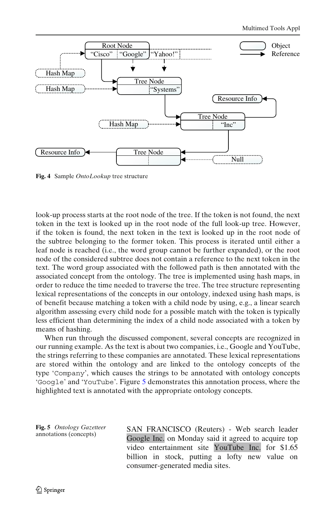<span id="page-9-0"></span>

**Fig. 4** Sample *OntoLookup* tree structure

look-up process starts at the root node of the tree. If the token is not found, the next token in the text is looked up in the root node of the full look-up tree. However, if the token is found, the next token in the text is looked up in the root node of the subtree belonging to the former token. This process is iterated until either a leaf node is reached (i.e., the word group cannot be further expanded), or the root node of the considered subtree does not contain a reference to the next token in the text. The word group associated with the followed path is then annotated with the associated concept from the ontology. The tree is implemented using hash maps, in order to reduce the time needed to traverse the tree. The tree structure representing lexical representations of the concepts in our ontology, indexed using hash maps, is of benefit because matching a token with a child node by using, e.g., a linear search algorithm assessing every child node for a possible match with the token is typically less efficient than determining the index of a child node associated with a token by means of hashing.

When run through the discussed component, several concepts are recognized in our running example. As the text is about two companies, i.e., Google and YouTube, the strings referring to these companies are annotated. These lexical representations are stored within the ontology and are linked to the ontology concepts of the type 'Company', which causes the strings to be annotated with ontology concepts 'Google' and 'YouTube'. Figure 5 demonstrates this annotation process, where the highlighted text is annotated with the appropriate ontology concepts.

**Fig. 5** *Ontology Gazetteer*

Fig. 5 *Ontology Gazetteer* SAN FRANCISCO (Reuters) - Web search leader annotations (concepts) Google Inc. on Monday said it agreed to acquire top video entertainment site YouTube Inc. for \$1.65 billion in stock, putting a lofty new value on consumer-generated media sites.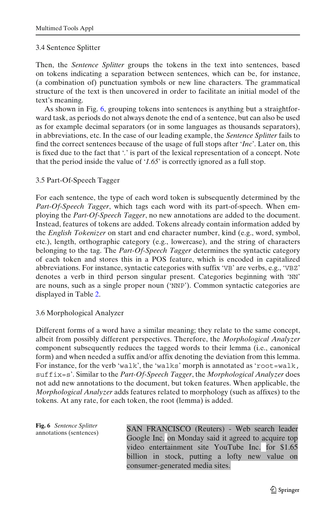## 3.4 Sentence Splitter

Then, the *Sentence Splitter* groups the tokens in the text into sentences, based on tokens indicating a separation between sentences, which can be, for instance, (a combination of) punctuation symbols or new line characters. The grammatical structure of the text is then uncovered in order to facilitate an initial model of the text's meaning.

As shown in Fig. 6, grouping tokens into sentences is anything but a straightforward task, as periods do not always denote the end of a sentence, but can also be used as for example decimal separators (or in some languages as thousands separators), in abbreviations, etc. In the case of our leading example, the *Sentence Splitter* fails to find the correct sentences because of the usage of full stops after '*Inc*'. Later on, this is fixed due to the fact that '*.*' is part of the lexical representation of a concept. Note that the period inside the value of '*1.65*' is correctly ignored as a full stop.

## 3.5 Part-Of-Speech Tagger

For each sentence, the type of each word token is subsequently determined by the *Part-Of-Speech Tagger*, which tags each word with its part-of-speech. When employing the *Part-Of-Speech Tagger*, no new annotations are added to the document. Instead, features of tokens are added. Tokens already contain information added by the *English Tokenizer* on start and end character number, kind (e.g., word, symbol, etc.), length, orthographic category (e.g., lowercase), and the string of characters belonging to the tag. The *Part-Of-Speech Tagger* determines the syntactic category of each token and stores this in a POS feature, which is encoded in capitalized abbreviations. For instance, syntactic categories with suffix 'VB' are verbs, e.g., 'VBZ' denotes a verb in third person singular present. Categories beginning with 'NN' are nouns, such as a single proper noun ('NNP'). Common syntactic categories are displayed in Table [2.](#page-11-0)

## 3.6 Morphological Analyzer

Different forms of a word have a similar meaning; they relate to the same concept, albeit from possibly different perspectives. Therefore, the *Morphological Analyzer* component subsequently reduces the tagged words to their lemma (i.e., canonical form) and when needed a suffix and/or affix denoting the deviation from this lemma. For instance, for the verb 'walk', the 'walks' morph is annotated as 'root=walk, suffix=s'. Similar to the *Part-Of-Speech Tagger*, the *Morphological Analyzer* does not add new annotations to the document, but token features. When applicable, the *Morphological Analyzer* adds features related to morphology (such as affixes) to the tokens. At any rate, for each token, the root (lemma) is added.

**Fig. 6** *Sentence Splitter*

**Fig. 0** Semence Spinler<br>annotations (sentences) SAN FRANCISCO (Reuters) - Web search leader Google Inc. on Monday said it agreed to acquire top video entertainment site YouTube Inc. for \$1.65 billion in stock, putting a lofty new value on consumer-generated media sites.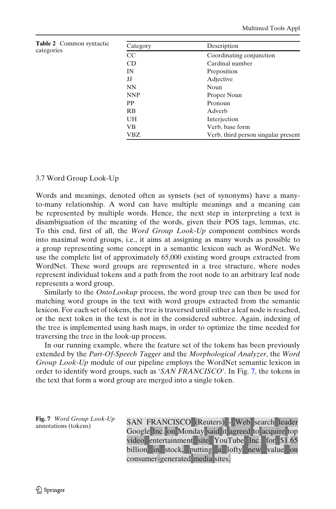<span id="page-11-0"></span>

| Table 2 Common syntactic<br>categories | Category   | Description                         |
|----------------------------------------|------------|-------------------------------------|
|                                        |            |                                     |
|                                        | CC         | Coordinating conjunction            |
|                                        | CD         | Cardinal number                     |
|                                        | IN         | Preposition                         |
|                                        | IJ         | Adjective                           |
|                                        | <b>NN</b>  | Noun                                |
|                                        | <b>NNP</b> | Proper Noun                         |
|                                        | <b>PP</b>  | Pronoun                             |
|                                        | RB         | Adverb                              |
|                                        | UH         | Interjection                        |
|                                        | VB         | Verb, base form                     |
|                                        | VBZ        | Verb, third person singular present |
|                                        |            |                                     |

## 3.7 Word Group Look-Up

Words and meanings, denoted often as synsets (set of synonyms) have a manyto-many relationship. A word can have multiple meanings and a meaning can be represented by multiple words. Hence, the next step in interpreting a text is disambiguation of the meaning of the words, given their POS tags, lemmas, etc. To this end, first of all, the *Word Group Look-Up* component combines words into maximal word groups, i.e., it aims at assigning as many words as possible to a group representing some concept in a semantic lexicon such as WordNet. We use the complete list of approximately 65,000 existing word groups extracted from WordNet. These word groups are represented in a tree structure, where nodes represent individual tokens and a path from the root node to an arbitrary leaf node represents a word group.

Similarly to the *OntoLookup* process, the word group tree can then be used for matching word groups in the text with word groups extracted from the semantic lexicon. For each set of tokens, the tree is traversed until either a leaf node is reached, or the next token in the text is not in the considered subtree. Again, indexing of the tree is implemented using hash maps, in order to optimize the time needed for traversing the tree in the look-up process.

In our running example, where the feature set of the tokens has been previously extended by the *Part-Of-Speech Tagger* and the *Morphological Analyzer*, the *Word Group Look-Up* module of our pipeline employs the WordNet semantic lexicon in order to identify word groups, such as '*SAN FRANCISCO*'. In Fig. 7, the tokens in the text that form a word group are merged into a single token.

**Fig. 7** *Word Group Look-Up*

**Fig.** 7 Word Group Look-Up SAN FRANCISCO (Reuters) - Web search leader annotations (tokens) Google Inc. on Monday said it agreed to acquire top video entertainment site YouTube Inc. for \$1.65 billion in stock, putting a lofty new value on consumer-generated media sites.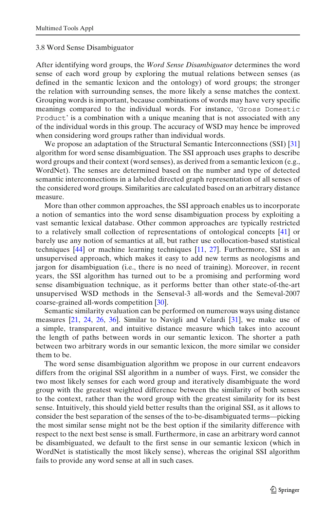#### 3.8 Word Sense Disambiguator

After identifying word groups, the *Word Sense Disambiguator* determines the word sense of each word group by exploring the mutual relations between senses (as defined in the semantic lexicon and the ontology) of word groups; the stronger the relation with surrounding senses, the more likely a sense matches the context. Grouping words is important, because combinations of words may have very specific meanings compared to the individual words. For instance, 'Gross Domestic Product' is a combination with a unique meaning that is not associated with any of the individual words in this group. The accuracy of WSD may hence be improved when considering word groups rather than individual words.

We propose an adaptation of the Structural Semantic Interconnections (SSI) [\[31](#page-22-0)] algorithm for word sense disambiguation. The SSI approach uses graphs to describe word groups and their context (word senses), as derived from a semantic lexicon (e.g., WordNet). The senses are determined based on the number and type of detected semantic interconnections in a labeled directed graph representation of all senses of the considered word groups. Similarities are calculated based on an arbitrary distance measure.

More than other common approaches, the SSI approach enables us to incorporate a notion of semantics into the word sense disambiguation process by exploiting a vast semantic lexical database. Other common approaches are typically restricted to a relatively small collection of representations of ontological concepts [\[41](#page-22-0)] or barely use any notion of semantics at all, but rather use collocation-based statistical techniques [\[44](#page-23-0)] or machine learning techniques [\[11](#page-21-0), [27\]](#page-22-0). Furthermore, SSI is an unsupervised approach, which makes it easy to add new terms as neologisms and jargon for disambiguation (i.e., there is no need of training). Moreover, in recent years, the SSI algorithm has turned out to be a promising and performing word sense disambiguation technique, as it performs better than other state-of-the-art unsupervised WSD methods in the Senseval-3 all-words and the Semeval-2007 coarse-grained all-words competition [\[30\]](#page-22-0).

Semantic similarity evaluation can be performed on numerous ways using distance measures [\[21,](#page-21-0) [24](#page-22-0), [26,](#page-22-0) [36](#page-22-0)]. Similar to Navigli and Velardi [\[31](#page-22-0)], we make use of a simple, transparent, and intuitive distance measure which takes into account the length of paths between words in our semantic lexicon. The shorter a path between two arbitrary words in our semantic lexicon, the more similar we consider them to be.

The word sense disambiguation algorithm we propose in our current endeavors differs from the original SSI algorithm in a number of ways. First, we consider the two most likely senses for each word group and iteratively disambiguate the word group with the greatest weighted difference between the similarity of both senses to the context, rather than the word group with the greatest similarity for its best sense. Intuitively, this should yield better results than the original SSI, as it allows to consider the best separation of the senses of the to-be-disambiguated terms—picking the most similar sense might not be the best option if the similarity difference with respect to the next best sense is small. Furthermore, in case an arbitrary word cannot be disambiguated, we default to the first sense in our semantic lexicon (which in WordNet is statistically the most likely sense), whereas the original SSI algorithm fails to provide any word sense at all in such cases.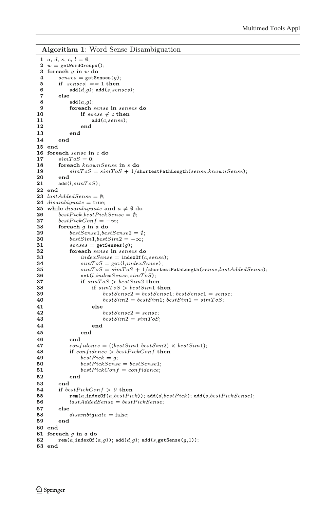```
Algorithm 1: Word Sense Disambiguation
```

```
a, d, s, c, l = \emptyset;\mathbf{1}2 w = getWordGroups();
 3 foreach q in w do
 \overline{\mathbf{4}}senses = getSenses(g);if |senses| == 1 then
 5
 6
            add(d,g); add(s, senses);\overline{7}else
 8
            add(a,q);\mathbf{Q}foreach sense in senses do
10if sense \notin c then
11add(c, sense);end
1213
            end
14end
15 end
16 foreach sense in c do
17
        simToS = 0;foreach knownSense in s do
18
            simToS = simToS + 1/shortestPathLength(sense, knownSense);19
        end
2021
        add(l,simToS);22 end
23 lastAddedSense = \emptyset;
24 disambiguate = true;25 while disambiquate and a \neq \emptyset do
26
        bestPick, best Pick Sense = \emptyset;27bestPickConf = -\infty28
        foreach q in a do
29
            bestSense1, bestSense2 = \emptyset;30
            bestSim1, bestSim2 = -\infty;31
            senses = getSenses(g);32
            foreach sense in senses do
33
                 indexSense = indexOf(c, sense);34
                 simToS = get(l, indexSense);35
                 simToS = simToS + 1/shortestPathLength(sense, lastAddedSense);\mathtt{set}(l, indexSense, simToS);36
37
                 if simToS > bestSim2 then
                     if simToS > bestSim1 then
38
39
                         bestSense2 = bestSense1; bestSense1 = sense;40
                         bestSim2 = bestSim1; bestSim1 = simToS;41
                     else
                         bestSense2 = sense;4243
                         bestSim2 = simToS;end
44
                 end
45
46
            end
            confidence = ((bestSim1-bestSim2) \times bestSim1);47
48
            if confidence > best PickConf then
49
                 bestPick = g;50
                 bestPickSense = bestSense1;bestPickConf = confidence;51
52end
53
        end
        if bestPickConf > 0 then
54
            \texttt{rem}(a,\texttt{indexOf}(a,bestPick)); add(d,bestPick); add(s,bestPickSense);55
56
            lastAdded Sense = bestPick Sense;57
        else
58
            disambiguate = false;_{\mathrm{end}}59
60 end
61
    foreach g in a do
62
        \verb"rem"(a, \verb"indexOf"(a, g))\,; \, \verb"add"(d, g);\, \verb"add"(s, \verb"getSense|(g, 1))\,;63 end
```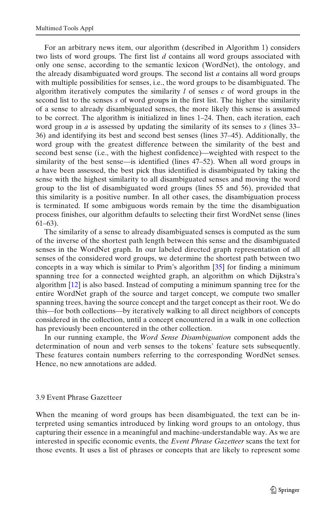For an arbitrary news item, our algorithm (described in Algorithm 1) considers two lists of word groups. The first list *d* contains all word groups associated with only one sense, according to the semantic lexicon (WordNet), the ontology, and the already disambiguated word groups. The second list *a* contains all word groups with multiple possibilities for senses, i.e., the word groups to be disambiguated. The algorithm iteratively computes the similarity *l* of senses *c* of word groups in the second list to the senses *s* of word groups in the first list. The higher the similarity of a sense to already disambiguated senses, the more likely this sense is assumed to be correct. The algorithm is initialized in lines 1–24. Then, each iteration, each word group in *a* is assessed by updating the similarity of its senses to *s* (lines 33– 36) and identifying its best and second best senses (lines 37–45). Additionally, the word group with the greatest difference between the similarity of the best and second best sense (i.e., with the highest confidence)—weighted with respect to the similarity of the best sense—is identified (lines 47–52). When all word groups in *a* have been assessed, the best pick thus identified is disambiguated by taking the sense with the highest similarity to all disambiguated senses and moving the word group to the list of disambiguated word groups (lines 55 and 56), provided that this similarity is a positive number. In all other cases, the disambiguation process is terminated. If some ambiguous words remain by the time the disambiguation process finishes, our algorithm defaults to selecting their first WordNet sense (lines 61–63).

The similarity of a sense to already disambiguated senses is computed as the sum of the inverse of the shortest path length between this sense and the disambiguated senses in the WordNet graph. In our labeled directed graph representation of all senses of the considered word groups, we determine the shortest path between two concepts in a way which is similar to Prim's algorithm [\[35\]](#page-22-0) for finding a minimum spanning tree for a connected weighted graph, an algorithm on which Dijkstra's algorithm [\[12](#page-21-0)] is also based. Instead of computing a minimum spanning tree for the entire WordNet graph of the source and target concept, we compute two smaller spanning trees, having the source concept and the target concept as their root. We do this—for both collections—by iteratively walking to all direct neighbors of concepts considered in the collection, until a concept encountered in a walk in one collection has previously been encountered in the other collection.

In our running example, the *Word Sense Disambiguation* component adds the determination of noun and verb senses to the tokens' feature sets subsequently. These features contain numbers referring to the corresponding WordNet senses. Hence, no new annotations are added.

#### 3.9 Event Phrase Gazetteer

When the meaning of word groups has been disambiguated, the text can be interpreted using semantics introduced by linking word groups to an ontology, thus capturing their essence in a meaningful and machine-understandable way. As we are interested in specific economic events, the *Event Phrase Gazetteer* scans the text for those events. It uses a list of phrases or concepts that are likely to represent some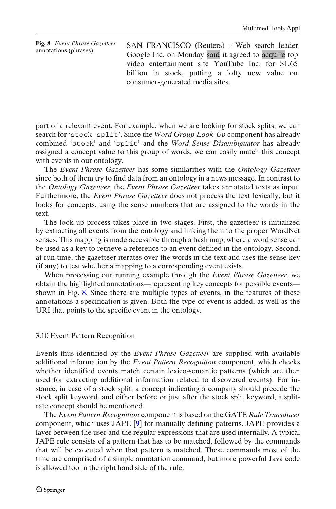| <b>Fig. 8</b> Event Phrase Gazetteer<br>annotations (phrases) | SAN FRANCISCO (Reuters) - Web search leader         |
|---------------------------------------------------------------|-----------------------------------------------------|
|                                                               | Google Inc. on Monday said it agreed to acquire top |
|                                                               | video entertainment site YouTube Inc. for \$1.65    |
|                                                               | billion in stock, putting a lofty new value on      |
|                                                               | consumer-generated media sites.                     |

part of a relevant event. For example, when we are looking for stock splits, we can search for 'stock split'. Since the *Word Group Look-Up* component has already combined 'stock' and 'split' and the *Word Sense Disambiguator* has already assigned a concept value to this group of words, we can easily match this concept with events in our ontology.

The *Event Phrase Gazetteer* has some similarities with the *Ontology Gazetteer* since both of them try to find data from an ontology in a news message. In contrast to the *Ontology Gazetteer*, the *Event Phrase Gazetteer* takes annotated texts as input. Furthermore, the *Event Phrase Gazetteer* does not process the text lexically, but it looks for concepts, using the sense numbers that are assigned to the words in the text.

The look-up process takes place in two stages. First, the gazetteer is initialized by extracting all events from the ontology and linking them to the proper WordNet senses. This mapping is made accessible through a hash map, where a word sense can be used as a key to retrieve a reference to an event defined in the ontology. Second, at run time, the gazetteer iterates over the words in the text and uses the sense key (if any) to test whether a mapping to a corresponding event exists.

When processing our running example through the *Event Phrase Gazetteer*, we obtain the highlighted annotations—representing key concepts for possible events shown in Fig. 8. Since there are multiple types of events, in the features of these annotations a specification is given. Both the type of event is added, as well as the URI that points to the specific event in the ontology.

## 3.10 Event Pattern Recognition

Events thus identified by the *Event Phrase Gazetteer* are supplied with available additional information by the *Event Pattern Recognition* component, which checks whether identified events match certain lexico-semantic patterns (which are then used for extracting additional information related to discovered events). For instance, in case of a stock split, a concept indicating a company should precede the stock split keyword, and either before or just after the stock split keyword, a splitrate concept should be mentioned.

The *Event Pattern Recognition* component is based on the GATE *Rule Transducer* component, which uses JAPE [\[9\]](#page-21-0) for manually defining patterns. JAPE provides a layer between the user and the regular expressions that are used internally. A typical JAPE rule consists of a pattern that has to be matched, followed by the commands that will be executed when that pattern is matched. These commands most of the time are comprised of a simple annotation command, but more powerful Java code is allowed too in the right hand side of the rule.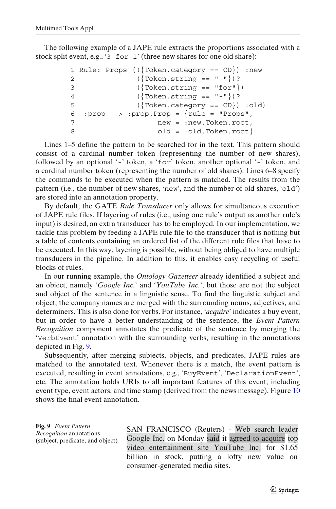The following example of a JAPE rule extracts the proportions associated with a stock split event, e.g., '3-for-1' (three new shares for one old share):

```
1 Rule: Props (({Token.category == CD}) :new
2 ({\text{Token} . \text{string} == " - "\})?
3 ({\text{Token} . \text{string} == "for"})4 ({Token.string == "-"})?
5 ({Token.category == CD}) :old)
6 :prop -- :prop.Prop = \{rule = "Props",\}7 new = :new.Token.root,
8 old = :old.Token.root}
```
Lines 1–5 define the pattern to be searched for in the text. This pattern should consist of a cardinal number token (representing the number of new shares), followed by an optional '-' token, a 'for' token, another optional '-' token, and a cardinal number token (representing the number of old shares). Lines 6–8 specify the commands to be executed when the pattern is matched. The results from the pattern (i.e., the number of new shares, 'new', and the number of old shares, 'old') are stored into an annotation property.

By default, the GATE *Rule Transducer* only allows for simultaneous execution of JAPE rule files. If layering of rules (i.e., using one rule's output as another rule's input) is desired, an extra transducer has to be employed. In our implementation, we tackle this problem by feeding a JAPE rule file to the transducer that is nothing but a table of contents containing an ordered list of the different rule files that have to be executed. In this way, layering is possible, without being obliged to have multiple transducers in the pipeline. In addition to this, it enables easy recycling of useful blocks of rules.

In our running example, the *Ontology Gazetteer* already identified a subject and an object, namely '*Google Inc.*' and '*YouTube Inc.*', but those are not the subject and object of the sentence in a linguistic sense. To find the linguistic subject and object, the company names are merged with the surrounding nouns, adjectives, and determiners. This is also done for verbs. For instance, '*acquire*' indicates a buy event, but in order to have a better understanding of the sentence, the *Event Pattern Recognition* component annotates the predicate of the sentence by merging the 'VerbEvent' annotation with the surrounding verbs, resulting in the annotations depicted in Fig. 9.

Subsequently, after merging subjects, objects, and predicates, JAPE rules are matched to the annotated text. Whenever there is a match, the event pattern is executed, resulting in event annotations, e.g., 'BuyEvent', 'DeclarationEvent', etc. The annotation holds URIs to all important features of this event, including event type, event actors, and time stamp (derived from the news message). Figure [10](#page-17-0) shows the final event annotation.

**Fig. 9** *Event Pattern Recognition* annotations (subject, predicate, and object)

SAN FRANCISCO (Reuters) - Web search leader Google Inc. on Monday said it agreed to acquire top video entertainment site YouTube Inc. for \$1.65 billion in stock, putting a lofty new value on consumer-generated media sites.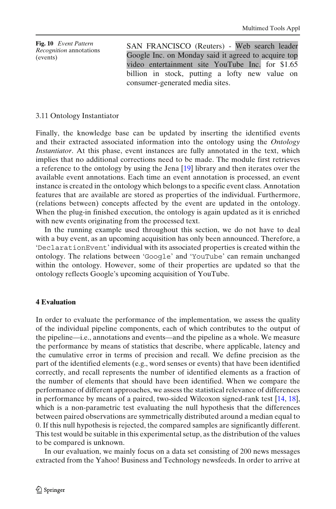<span id="page-17-0"></span>

| Fig. 10 Event Pattern<br>Recognition annotations<br>(events) | SAN FRANCISCO (Reuters) - Web search leader                                                             |
|--------------------------------------------------------------|---------------------------------------------------------------------------------------------------------|
|                                                              | Google Inc. on Monday said it agreed to acquire top<br>video entertainment site YouTube Inc. for \$1.65 |
|                                                              | billion in stock, putting a lofty new value on                                                          |
|                                                              | consumer-generated media sites.                                                                         |

#### 3.11 Ontology Instantiator

Finally, the knowledge base can be updated by inserting the identified events and their extracted associated information into the ontology using the *Ontology Instantiator*. At this phase, event instances are fully annotated in the text, which implies that no additional corrections need to be made. The module first retrieves a reference to the ontology by using the Jena [\[19\]](#page-21-0) library and then iterates over the available event annotations. Each time an event annotation is processed, an event instance is created in the ontology which belongs to a specific event class. Annotation features that are available are stored as properties of the individual. Furthermore, (relations between) concepts affected by the event are updated in the ontology. When the plug-in finished execution, the ontology is again updated as it is enriched with new events originating from the processed text.

In the running example used throughout this section, we do not have to deal with a buy event, as an upcoming acquisition has only been announced. Therefore, a 'DeclarationEvent' individual with its associated properties is created within the ontology. The relations between 'Google' and 'YouTube' can remain unchanged within the ontology. However, some of their properties are updated so that the ontology reflects Google's upcoming acquisition of YouTube.

### **4 Evaluation**

In order to evaluate the performance of the implementation, we assess the quality of the individual pipeline components, each of which contributes to the output of the pipeline—i.e., annotations and events—and the pipeline as a whole. We measure the performance by means of statistics that describe, where applicable, latency and the cumulative error in terms of precision and recall. We define precision as the part of the identified elements (e.g., word senses or events) that have been identified correctly, and recall represents the number of identified elements as a fraction of the number of elements that should have been identified. When we compare the performance of different approaches, we assess the statistical relevance of differences in performance by means of a paired, two-sided Wilcoxon signed-rank test [\[14](#page-21-0), [18](#page-21-0)], which is a non-parametric test evaluating the null hypothesis that the differences between paired observations are symmetrically distributed around a median equal to 0. If this null hypothesis is rejected, the compared samples are significantly different. This test would be suitable in this experimental setup, as the distribution of the values to be compared is unknown.

In our evaluation, we mainly focus on a data set consisting of 200 news messages extracted from the Yahoo! Business and Technology newsfeeds. In order to arrive at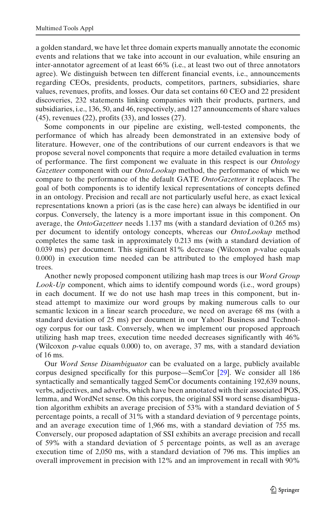a golden standard, we have let three domain experts manually annotate the economic events and relations that we take into account in our evaluation, while ensuring an inter-annotator agreement of at least 66% (i.e., at least two out of three annotators agree). We distinguish between ten different financial events, i.e., announcements regarding CEOs, presidents, products, competitors, partners, subsidiaries, share values, revenues, profits, and losses. Our data set contains 60 CEO and 22 president discoveries, 232 statements linking companies with their products, partners, and subsidiaries, i.e., 136, 50, and 46, respectively, and 127 announcements of share values (45), revenues (22), profits (33), and losses (27).

Some components in our pipeline are existing, well-tested components, the performance of which has already been demonstrated in an extensive body of literature. However, one of the contributions of our current endeavors is that we propose several novel components that require a more detailed evaluation in terms of performance. The first component we evaluate in this respect is our *Ontology Gazetteer* component with our *OntoLookup* method, the performance of which we compare to the performance of the default GATE *OntoGazetteer* it replaces. The goal of both components is to identify lexical representations of concepts defined in an ontology. Precision and recall are not particularly useful here, as exact lexical representations known a priori (as is the case here) can always be identified in our corpus. Conversely, the latency is a more important issue in this component. On average, the *OntoGazetteer* needs 1.137 ms (with a standard deviation of 0.265 ms) per document to identify ontology concepts, whereas our *OntoLookup* method completes the same task in approximately 0.213 ms (with a standard deviation of 0.039 ms) per document. This significant 81% decrease (Wilcoxon *p*-value equals 0.000) in execution time needed can be attributed to the employed hash map trees.

Another newly proposed component utilizing hash map trees is our *Word Group Look-Up* component, which aims to identify compound words (i.e., word groups) in each document. If we do not use hash map trees in this component, but instead attempt to maximize our word groups by making numerous calls to our semantic lexicon in a linear search procedure, we need on average 68 ms (with a standard deviation of 25 ms) per document in our Yahoo! Business and Technology corpus for our task. Conversely, when we implement our proposed approach utilizing hash map trees, execution time needed decreases significantly with 46% (Wilcoxon *p*-value equals 0.000) to, on average, 37 ms, with a standard deviation of 16 ms.

Our *Word Sense Disambiguator* can be evaluated on a large, publicly available corpus designed specifically for this purpose—SemCor [\[29](#page-22-0)]. We consider all 186 syntactically and semantically tagged SemCor documents containing 192,639 nouns, verbs, adjectives, and adverbs, which have been annotated with their associated POS, lemma, and WordNet sense. On this corpus, the original SSI word sense disambiguation algorithm exhibits an average precision of 53% with a standard deviation of 5 percentage points, a recall of 31% with a standard deviation of 9 percentage points, and an average execution time of 1,966 ms, with a standard deviation of 755 ms. Conversely, our proposed adaptation of SSI exhibits an average precision and recall of 59% with a standard deviation of 5 percentage points, as well as an average execution time of 2,050 ms, with a standard deviation of 796 ms. This implies an overall improvement in precision with 12% and an improvement in recall with 90%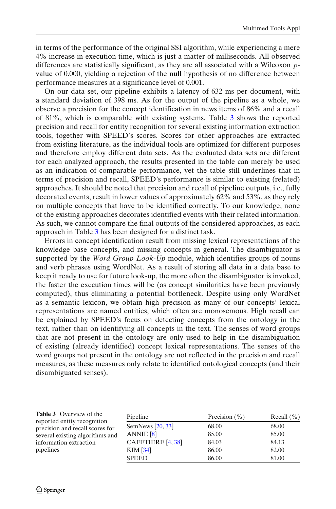in terms of the performance of the original SSI algorithm, while experiencing a mere 4% increase in execution time, which is just a matter of milliseconds. All observed differences are statistically significant, as they are all associated with a Wilcoxon *p*value of 0.000, yielding a rejection of the null hypothesis of no difference between performance measures at a significance level of 0.001.

On our data set, our pipeline exhibits a latency of 632 ms per document, with a standard deviation of 398 ms. As for the output of the pipeline as a whole, we observe a precision for the concept identification in news items of 86% and a recall of 81%, which is comparable with existing systems. Table 3 shows the reported precision and recall for entity recognition for several existing information extraction tools, together with SPEED's scores. Scores for other approaches are extracted from existing literature, as the individual tools are optimized for different purposes and therefore employ different data sets. As the evaluated data sets are different for each analyzed approach, the results presented in the table can merely be used as an indication of comparable performance, yet the table still underlines that in terms of precision and recall, SPEED's performance is similar to existing (related) approaches. It should be noted that precision and recall of pipeline outputs, i.e., fully decorated events, result in lower values of approximately 62% and 53%, as they rely on multiple concepts that have to be identified correctly. To our knowledge, none of the existing approaches decorates identified events with their related information. As such, we cannot compare the final outputs of the considered approaches, as each approach in Table 3 has been designed for a distinct task.

Errors in concept identification result from missing lexical representations of the knowledge base concepts, and missing concepts in general. The disambiguator is supported by the *Word Group Look-Up* module, which identifies groups of nouns and verb phrases using WordNet. As a result of storing all data in a data base to keep it ready to use for future look-up, the more often the disambiguator is invoked, the faster the execution times will be (as concept similarities have been previously computed), thus eliminating a potential bottleneck. Despite using only WordNet as a semantic lexicon, we obtain high precision as many of our concepts' lexical representations are named entities, which often are monosemous. High recall can be explained by SPEED's focus on detecting concepts from the ontology in the text, rather than on identifying all concepts in the text. The senses of word groups that are not present in the ontology are only used to help in the disambiguation of existing (already identified) concept lexical representations. The senses of the word groups not present in the ontology are not reflected in the precision and recall measures, as these measures only relate to identified ontological concepts (and their disambiguated senses).

| <b>Table 3</b> Overview of the<br>reported entity recognition | Pipeline          | Precision $(\% )$ | Recall $(\% )$ |
|---------------------------------------------------------------|-------------------|-------------------|----------------|
| precision and recall scores for                               | SemNews [20, 33]  | 68.00             | 68.00          |
| several existing algorithms and                               | ANNIE [8]         | 85.00             | 85.00          |
| information extraction                                        | CAFETIERE [4, 38] | 84.03             | 84.13          |
| pipelines                                                     | KIM [34]          | 86.00             | 82.00          |
|                                                               | <b>SPEED</b>      | 86.00             | 81.00          |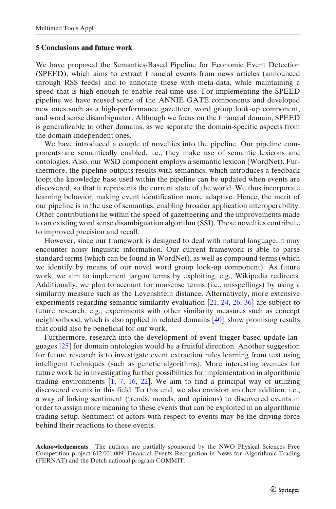#### <span id="page-20-0"></span>**5 Conclusions and future work**

We have proposed the Semantics-Based Pipeline for Economic Event Detection (SPEED), which aims to extract financial events from news articles (announced through RSS feeds) and to annotate these with meta-data, while maintaining a speed that is high enough to enable real-time use. For implementing the SPEED pipeline we have reused some of the ANNIE GATE components and developed new ones such as a high-performance gazetteer, word group look-up component, and word sense disambiguator. Although we focus on the financial domain, SPEED is generalizable to other domains, as we separate the domain-specific aspects from the domain-independent ones.

We have introduced a couple of novelties into the pipeline. Our pipeline components are semantically enabled, i.e., they make use of semantic lexicons and ontologies. Also, our WSD component employs a semantic lexicon (WordNet). Furthermore, the pipeline outputs results with semantics, which introduces a feedback loop; the knowledge base used within the pipeline can be updated when events are discovered, so that it represents the current state of the world. We thus incorporate learning behavior, making event identification more adaptive. Hence, the merit of our pipeline is in the use of semantics, enabling broader application interoperability. Other contributions lie within the speed of gazetteering and the improvements made to an existing word sense disambiguation algorithm (SSI). These novelties contribute to improved precision and recall.

However, since our framework is designed to deal with natural language, it may encounter noisy linguistic information. Our current framework is able to parse standard terms (which can be found in WordNet), as well as compound terms (which we identify by means of our novel word group look-up component). As future work, we aim to implement jargon terms by exploiting, e.g., Wikipedia redirects. Additionally, we plan to account for nonsense terms (i.e., misspellings) by using a similarity measure such as the Levenshtein distance. Alternatively, more extensive experiments regarding semantic similarity evaluation [\[21,](#page-21-0) [24](#page-22-0), [26](#page-22-0), [36](#page-22-0)] are subject to future research, e.g., experiments with other similarity measures such as concept neighborhood, which is also applied in related domains [\[40](#page-22-0)], show promising results that could also be beneficial for our work.

Furthermore, research into the development of event trigger-based update languages [\[25](#page-22-0)] for domain ontologies would be a fruitful direction. Another suggestion for future research is to investigate event extraction rules learning from text using intelligent techniques (such as genetic algorithms). More interesting avenues for future work lie in investigating further possibilities for implementation in algorithmic trading environments  $[1, 7, 16, 22]$  $[1, 7, 16, 22]$  $[1, 7, 16, 22]$  $[1, 7, 16, 22]$  $[1, 7, 16, 22]$  $[1, 7, 16, 22]$  $[1, 7, 16, 22]$ . We aim to find a principal way of utilizing discovered events in this field. To this end, we also envision another addition, i.e., a way of linking sentiment (trends, moods, and opinions) to discovered events in order to assign more meaning to these events that can be exploited in an algorithmic trading setup. Sentiment of actors with respect to events may be the driving force behind their reactions to these events.

**Acknowledgements** The authors are partially sponsored by the NWO Physical Sciences Free Competition project 612.001.009: Financial Events Recognition in News for Algorithmic Trading (FERNAT) and the Dutch national program COMMIT.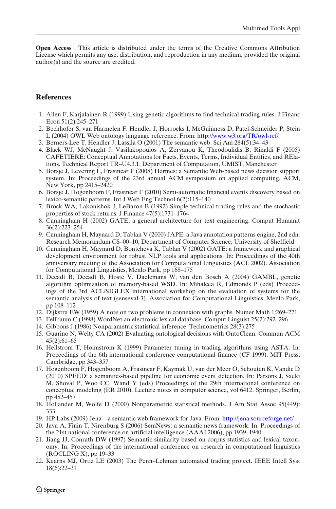<span id="page-21-0"></span>**Open Access** This article is distributed under the terms of the Creative Commons Attribution License which permits any use, distribution, and reproduction in any medium, provided the original author(s) and the source are credited.

## **References**

- 1. Allen F, Karjalainen R (1999) Using genetic algorithms to find technical trading rules. J Financ Econ 51(2):245–271
- 2. Bechhofer S, van Harmelen F, Hendler J, Horrocks I, McGuinness D, Patel-Schneider P, Stein L (2004) OWL Web ontology language reference. From: <http://www.w3.org/TR/owl-ref/>
- 3. Berners-Lee T, Hendler J, Lassila O (2001) The semantic web. Sci Am 284(5):34–43
- 4. Black WJ, McNaught J, Vasilakopoulos A, Zervanou K, Theodoulidis B, Rinaldi F (2005) CAFETIERE: Conceptual Annotations for Facts, Events, Terms, Individual Entities, and RElations. Technical Report TR–U4.3.1, Department of Computation, UMIST, Manchester
- 5. Borsje J, Levering L, Frasincar F (2008) Hermes: a Semantic Web-based news decision support system. In: Proceedings of the 23rd annual ACM symposium on applied computing. ACM, New York, pp 2415–2420
- 6. Borsje J, Hogenboom F, Frasincar F (2010) Semi-automatic financial events discovery based on lexico-semantic patterns. Int J Web Eng Technol 6(2):115–140
- 7. Brock WA, Lakonishok J, LeBaron B (1992) Simple technical trading rules and the stochastic properties of stock returns. J Finance 47(5):1731–1764
- 8. Cunningham H (2002) GATE, a general architecture for text engineering. Comput Humanit 36(2):223–254
- 9. Cunningham H, Maynard D, Tablan V (2000) JAPE: a Java annotation patterns engine, 2nd edn. Research Memorandum CS–00–10, Department of Computer Science, University of Sheffield
- 10. Cunningham H, Maynard D, Bontcheva K, Tablan V (2002) GATE: a framework and graphical development environment for robust NLP tools and applications. In: Proceedings of the 40th anniversary meeting of the Association for Computational Linguistics (ACL 2002). Association for Computational Linguistics, Menlo Park, pp 168–175
- 11. Decadt B, Decadt B, Hoste V, Daelemans W, van den Bosch A (2004) GAMBL, genetic algorithm optimization of memory-based WSD. In: Mihalcea R, Edmonds P (eds) Proceedings of the 3rd ACL/SIGLEX international workshop on the evaluation of systems for the semantic analysis of text (senseval-3). Association for Computational Linguistics, Menlo Park, pp 108–112
- 12. Dijkstra EW (1959) A note on two problems in connexion with graphs. Numer Math 1:269–271
- 13. Fellbaum C (1998) WordNet an electronic lexical database. Comput Linguist 25(2):292–296
- 14. Gibbons J (1986) Nonparametric statistical inference. Technometrics 28(3):275
- 15. Guarino N, Welty CA (2002) Evaluating ontological decisions with OntoClean. Commun ACM 45(2):61–65
- 16. Hellstrom T, Holmstrom K (1999) Parameter tuning in trading algorithms using ASTA. In: Proceedings of the 6th international conference computational finance (CF 1999). MIT Press, Cambridge, pp 343–357
- 17. Hogenboom F, Hogenboom A, Frasincar F, Kaymak U, van der Meer O, Schouten K, Vandic D (2010) SPEED: a semantics-based pipeline for economic event detection. In: Parsons J, Saeki M, Shoval P, Woo CC, Wand Y (eds) Proceedings of the 29th international conference on conceptual modeling (ER 2010). Lecture notes in computer science, vol 6412. Springer, Berlin, pp 452–457
- 18. Hollander M, Wolfe D (2000) Nonparametric statistical methods. J Am Stat Assoc 95(449): 333
- 19. HP Labs (2009) Jena—a semantic web framework for Java. From: <http://jena.sourceforge.net/>
- 20. Java A, Finin T, Nirenburg S (2006) SemNews: a semantic news framework. In: Proceedings of the 21st national conference on artificial intelligence (AAAI 2006), pp 1939–1940
- 21. Jiang JJ, Conrath DW (1997) Semantic similarity based on corpus statistics and lexical taxonomy. In: Proceedings of the international conference on research in computational linguistics (ROCLING X), pp 19–33
- 22. Kearns MJ, Ortiz LE (2003) The Penn–Lehman automated trading project. IEEE Intell Syst 18(6):22–31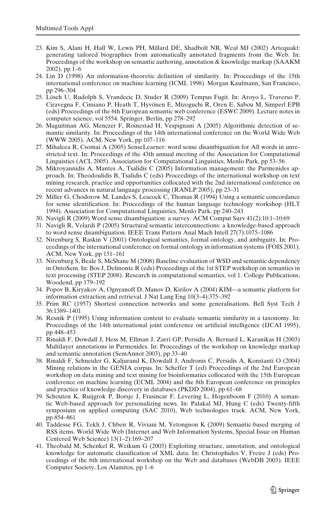- <span id="page-22-0"></span>23. Kim S, Alani H, Hall W, Lewis PH, Millard DE, Shadbolt NR, Weal MJ (2002) Artequakt: generating tailored biographies from automatically annotated fragments from the Web. In: Proceedings of the workshop on semantic authoring, annotation & knowledge markup (SAAKM 2002), pp 1–6
- 24. Lin D (1998) An information-theoretic definition of similarity. In: Proceedings of the 15th international conference on machine learning (ICML 1998). Morgan Kaufmann, San Francisco, pp 296–304
- 25. Lösch U, Rudolph S, Vrandecic D, Studer R (2009) Tempus Fugit. In: Aroyo L, Traverso P, Ciravegna F, Cimiano P, Heath T, Hyvönen E, Mizoguchi R, Oren E, Sabou M, Simperl EPB (eds) Proceedings of the 6th European semantic web conference (ESWC 2009). Lecture notes in computer science, vol 5554. Springer, Berlin, pp 278–292
- 26. Maguitman AG, Menczer F, Roinestad H, Vespignani A (2005) Algorithmic detection of semantic similarity. In: Proceedings of the 14th international conference on the World Wide Web (WWW 2005). ACM, New York, pp 107–116
- 27. Mihalcea R, Csomai A (2005) SenseLearner: word sense disambiguation for All words in unrestricted text. In: Proceedings of the 43th annual meeting of the Association for Computational Linguistics (ACL 2005). Association for Computational Linguistics, Menlo Park, pp 53–56
- 28. Mikroyannidis A, Mantes A, Tsalidis C (2005) Information management: the Parmenides approach. In: Theodoulidis B, Tsalidis C (eds) Proceedings of the international workshop on text mining research, practice and opportunities collocated with the 2nd international conference on recent advances in natural language processing (RANLP 2005), pp 23–31
- 29. Miller G, Chodorow M, Landes S, Leacock C, Thomas R (1994) Using a semantic concordance for sense identification. In: Proceedings of the human language technology workshop (HLT 1994). Association for Computational Linguistics, Menlo Park, pp 240–243
- 30. Navigli R (2009) Word sense disambiguation: a survey. ACM Comput Surv 41(2):10:1–10:69
- 31. Navigli R, Velardi P (2005) Structural semantic interconnections: a knowledge-based approach to word sense disambiguation. IEEE Trans Pattern Anal Mach Intell 27(7):1075–1086
- 32. Nirenburg S, Raskin V (2001) Ontological semantics, formal ontology, and ambiguity. In: Proceedings of the international conference on formal ontology in information systems (FOIS 2001). ACM, New York, pp 151–161
- 33. Nirenburg S, Beale S, McShane M (2008) Baseline evaluation of WSD and semantic dependency in OntoSem. In: Bos J, Delmonte R (eds) Proceedings of the 1st STEP workshop on semantics in text processing (STEP 2008). Research in computational semantics, vol 1. College Publications, Woodend, pp 179–192
- 34. Popov B, Kiryakov A, Ognyanoff D, Manov D, Kirilov A (2004) KIM—a semantic platform for information extraction and retrieval. J Nat Lang Eng 10(3–4):375–392
- 35. Prim RC (1957) Shortest connection networks and some generalisations. Bell Syst Tech J 36:1389–1401
- 36. Resnik P (1995) Using information content to evaluate semantic similarity in a taxonomy. In: Proceedings of the 14th international joint conference on artificial intelligence (IJCAI 1995), pp 448–453
- 37. Rinaldi F, Dowdall J, Hess M, Ellman J, Zarri GP, Persidis A, Bernard L, Karanikas H (2003) Multilayer annotations in Parmenides. In: Proceedings of the workshop on knowledge markup and semantic annotation (SemAnnot 2003), pp 33–40
- 38. Rinaldi F, Schneider G, Kaljurand K, Dowdall J, Andronis C, Persidis A, Konstanti O (2004) Mining relations in the GENIA corpus. In: Scheffer T (ed) Proceedings of the 2nd European workshop on data mining and text mining for bioinformatics collocated with the 15th European conference on machine learning (ECML 2004) and the 8th European conference on principles and practice of knowledge discovery in databases (PKDD 2004), pp 61–68
- 39. Schouten K, Ruijgrok P, Borsje J, Frasincar F, Levering L, Hogenboom F (2010) A semantic Web-based approach for personalizing news. In: Palakal MJ, Hung C (eds) Twenty-fifth symposium on applied computing (SAC 2010), Web technologies track. ACM, New York, pp 854–861
- 40. Taddesse FG, Tekli J, Chbeir R, Viviani M, Yetongnon K (2009) Semantic-based merging of RSS items. World Wide Web (Internet and Web Information Systems, Special Issue on Human Centered Web Science) 13(1–2):169–207
- 41. Theobald M, Schenkel R, Weikum G (2003) Exploiting structure, annotation, and ontological knowledge for automatic classification of XML data. In: Christophides V, Freire J (eds) Proceedings of the 6th international workshop on the Web and databases (WebDB 2003). IEEE Computer Society, Los Alamitos, pp 1–6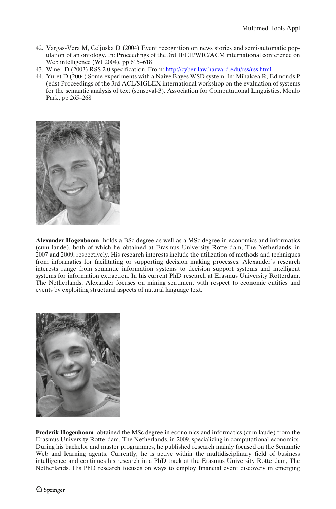- <span id="page-23-0"></span>42. Vargas-Vera M, Celjuska D (2004) Event recognition on news stories and semi-automatic population of an ontology. In: Proceedings of the 3rd IEEE/WIC/ACM international conference on Web intelligence (WI 2004), pp 615–618
- 43. Winer D (2003) RSS 2.0 specification. From: <http://cyber.law.harvard.edu/rss/rss.html>
- 44. Yuret D (2004) Some experiments with a Naive Bayes WSD system. In: Mihalcea R, Edmonds P (eds) Proceedings of the 3rd ACL/SIGLEX international workshop on the evaluation of systems for the semantic analysis of text (senseval-3). Association for Computational Linguistics, Menlo Park, pp 265–268



**Alexander Hogenboom** holds a BSc degree as well as a MSc degree in economics and informatics (cum laude), both of which he obtained at Erasmus University Rotterdam, The Netherlands, in 2007 and 2009, respectively. His research interests include the utilization of methods and techniques from informatics for facilitating or supporting decision making processes. Alexander's research interests range from semantic information systems to decision support systems and intelligent systems for information extraction. In his current PhD research at Erasmus University Rotterdam, The Netherlands, Alexander focuses on mining sentiment with respect to economic entities and events by exploiting structural aspects of natural language text.



**Frederik Hogenboom** obtained the MSc degree in economics and informatics (cum laude) from the Erasmus University Rotterdam, The Netherlands, in 2009, specializing in computational economics. During his bachelor and master programmes, he published research mainly focused on the Semantic Web and learning agents. Currently, he is active within the multidisciplinary field of business intelligence and continues his research in a PhD track at the Erasmus University Rotterdam, The Netherlands. His PhD research focuses on ways to employ financial event discovery in emerging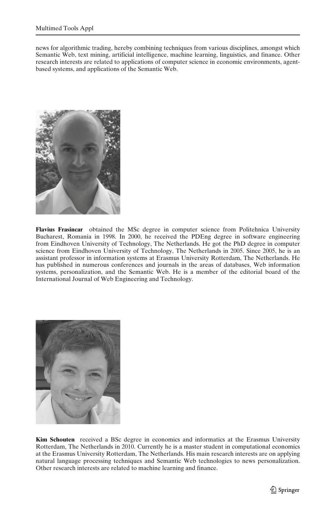news for algorithmic trading, hereby combining techniques from various disciplines, amongst which Semantic Web, text mining, artificial intelligence, machine learning, linguistics, and finance. Other research interests are related to applications of computer science in economic environments, agentbased systems, and applications of the Semantic Web.



**Flavius Frasincar** obtained the MSc degree in computer science from Politehnica University Bucharest, Romania in 1998. In 2000, he received the PDEng degree in software engineering from Eindhoven University of Technology, The Netherlands. He got the PhD degree in computer science from Eindhoven University of Technology, The Netherlands in 2005. Since 2005, he is an assistant professor in information systems at Erasmus University Rotterdam, The Netherlands. He has published in numerous conferences and journals in the areas of databases, Web information systems, personalization, and the Semantic Web. He is a member of the editorial board of the International Journal of Web Engineering and Technology.



**Kim Schouten** received a BSc degree in economics and informatics at the Erasmus University Rotterdam, The Netherlands in 2010. Currently he is a master student in computational economics at the Erasmus University Rotterdam, The Netherlands. His main research interests are on applying natural language processing techniques and Semantic Web technologies to news personalization. Other research interests are related to machine learning and finance.